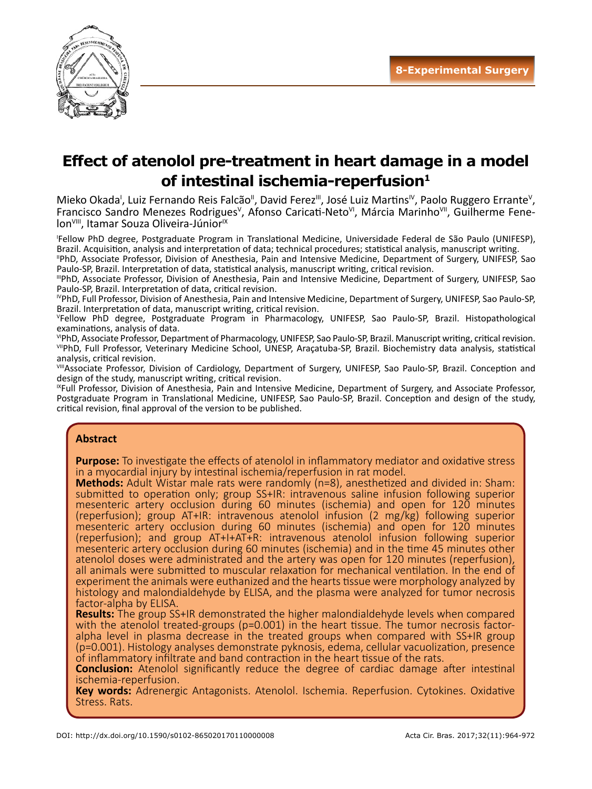

# **Effect of atenolol pre-treatment in heart damage in a model of intestinal ischemia-reperfusion 1**

Mieko Okada<sup>i</sup>, Luiz Fernando Reis Falcão<sup>ii</sup>, David Ferez<sup>iii</sup>, José Luiz Martins<sup>iv</sup>, Paolo Ruggero Errante<sup>v</sup>, Francisco Sandro Menezes Rodrigues<sup>v</sup>, Afonso Caricati-Neto<sup>vi</sup>, Márcia Marinho<sup>vii</sup>, Guilherme Fenelon<sup>VIII</sup>, Itamar Souza Oliveira-Júnior<sup>IX</sup>

I Fellow PhD degree, Postgraduate Program in Translational Medicine, Universidade Federal de São Paulo (UNIFESP), Brazil. Acquisition, analysis and interpretation of data; technical procedures; statistical analysis, manuscript writing.

IIPhD, Associate Professor, Division of Anesthesia, Pain and Intensive Medicine, Department of Surgery, UNIFESP, Sao Paulo-SP, Brazil. Interpretation of data, statistical analysis, manuscript writing, critical revision.

IIIPhD, Associate Professor, Division of Anesthesia, Pain and Intensive Medicine, Department of Surgery, UNIFESP, Sao Paulo-SP, Brazil. Interpretation of data, critical revision.

IVPhD, Full Professor, Division of Anesthesia, Pain and Intensive Medicine, Department of Surgery, UNIFESP, Sao Paulo-SP, Brazil. Interpretation of data, manuscript writing, critical revision.

Fellow PhD degree, Postgraduate Program in Pharmacology, UNIFESP, Sao Paulo-SP, Brazil. Histopathological examinations, analysis of data.

VIPhD, Associate Professor, Department of Pharmacology, UNIFESP, Sao Paulo-SP, Brazil. Manuscript writing, critical revision. VIIPhD, Full Professor, Veterinary Medicine School, UNESP, Araçatuba-SP, Brazil. Biochemistry data analysis, statistical analysis, critical revision.

VIII Associate Professor, Division of Cardiology, Department of Surgery, UNIFESP, Sao Paulo-SP, Brazil. Conception and design of the study, manuscript writing, critical revision.

IXFull Professor, Division of Anesthesia, Pain and Intensive Medicine, Department of Surgery, and Associate Professor, Postgraduate Program in Translational Medicine, UNIFESP, Sao Paulo-SP, Brazil. Conception and design of the study, critical revision, final approval of the version to be published.

#### **Abstract**

**Purpose:** To investigate the effects of atenolol in inflammatory mediator and oxidative stress in a myocardial injury by intestinal ischemia/reperfusion in rat model.

**Methods:** Adult Wistar male rats were randomly (n=8), anesthetized and divided in: Sham: submitted to operation only; group SS+IR: intravenous saline infusion following superior mesenteric artery occlusion during 60 minutes (ischemia) and open for 120 minutes (reperfusion); group AT+IR: intravenous atenolol infusion (2 mg/kg) following superior mesenteric artery occlusion during 60 minutes (ischemia) and open for 120 minutes (reperfusion); and group AT+I+AT+R: intravenous atenolol infusion following superior mesenteric artery occlusion during 60 minutes (ischemia) and in the time 45 minutes other atenolol doses were administrated and the artery was open for 120 minutes (reperfusion), all animals were submitted to muscular relaxation for mechanical ventilation. In the end of experiment the animals were euthanized and the hearts tissue were morphology analyzed by histology and malondialdehyde by ELISA, and the plasma were analyzed for tumor necrosis factor-alpha by ELISA.

**Results:** The group SS+IR demonstrated the higher malondialdehyde levels when compared with the atenolol treated-groups (p=0.001) in the heart tissue. The tumor necrosis factoralpha level in plasma decrease in the treated groups when compared with SS+IR group (p=0.001). Histology analyses demonstrate pyknosis, edema, cellular vacuolization, presence of inflammatory infiltrate and band contraction in the heart tissue of the rats.

**Conclusion:** Atenolol significantly reduce the degree of cardiac damage after intestinal ischemia-reperfusion.

**Key words:** Adrenergic Antagonists. Atenolol. Ischemia. Reperfusion. Cytokines. Oxidative Stress. Rats.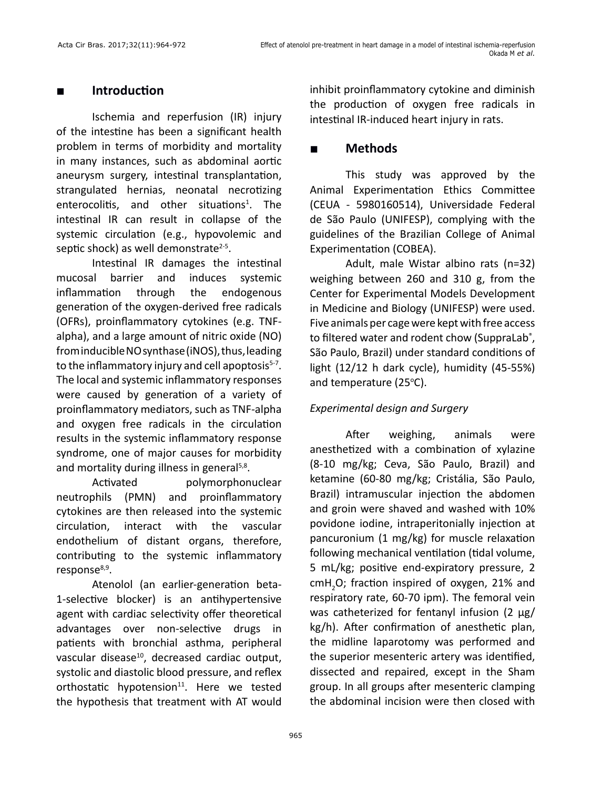## **■ Introduction**

Ischemia and reperfusion (IR) injury of the intestine has been a significant health problem in terms of morbidity and mortality in many instances, such as abdominal aortic aneurysm surgery, intestinal transplantation, strangulated hernias, neonatal necrotizing enterocolitis, and other situations<sup>1</sup>. The intestinal IR can result in collapse of the systemic circulation (e.g., hypovolemic and septic shock) as well demonstrate $2-5$ .

Intestinal IR damages the intestinal mucosal barrier and induces systemic inflammation through the endogenous generation of the oxygen-derived free radicals (OFRs), proinflammatory cytokines (e.g. TNFalpha), and a large amount of nitric oxide (NO) from inducible NO synthase (iNOS), thus, leading to the inflammatory injury and cell apoptosis<sup>5-7</sup>. The local and systemic inflammatory responses were caused by generation of a variety of proinflammatory mediators, such as TNF-alpha and oxygen free radicals in the circulation results in the systemic inflammatory response syndrome, one of major causes for morbidity and mortality during illness in general<sup>5,8</sup>.

Activated polymorphonuclear neutrophils (PMN) and proinflammatory cytokines are then released into the systemic circulation, interact with the vascular endothelium of distant organs, therefore, contributing to the systemic inflammatory response<sup>8,9</sup>.

Atenolol (an earlier-generation beta-1-selective blocker) is an antihypertensive agent with cardiac selectivity offer theoretical advantages over non-selective drugs in patients with bronchial asthma, peripheral vascular disease<sup>10</sup>, decreased cardiac output, systolic and diastolic blood pressure, and reflex orthostatic hypotension $11$ . Here we tested the hypothesis that treatment with AT would inhibit proinflammatory cytokine and diminish the production of oxygen free radicals in intestinal IR-induced heart injury in rats.

# **■ Methods**

This study was approved by the Animal Experimentation Ethics Committee (CEUA - 5980160514), Universidade Federal de São Paulo (UNIFESP), complying with the guidelines of the Brazilian College of Animal Experimentation (COBEA).

Adult, male Wistar albino rats (n=32) weighing between 260 and 310 g, from the Center for Experimental Models Development in Medicine and Biology (UNIFESP) were used. Five animals per cage were kept with free access to filtered water and rodent chow (SuppraLab®, São Paulo, Brazil) under standard conditions of light (12/12 h dark cycle), humidity (45-55%) and temperature (25°C).

## *Experimental design and Surgery*

After weighing, animals were anesthetized with a combination of xylazine (8-10 mg/kg; Ceva, São Paulo, Brazil) and ketamine (60-80 mg/kg; Cristália, São Paulo, Brazil) intramuscular injection the abdomen and groin were shaved and washed with 10% povidone iodine, intraperitonially injection at pancuronium (1 mg/kg) for muscle relaxation following mechanical ventilation (tidal volume, 5 mL/kg; positive end-expiratory pressure, 2 cmH<sub>2</sub>O; fraction inspired of oxygen, 21% and respiratory rate, 60-70 ipm). The femoral vein was catheterized for fentanyl infusion (2 μg/ kg/h). After confirmation of anesthetic plan, the midline laparotomy was performed and the superior mesenteric artery was identified, dissected and repaired, except in the Sham group. In all groups after mesenteric clamping the abdominal incision were then closed with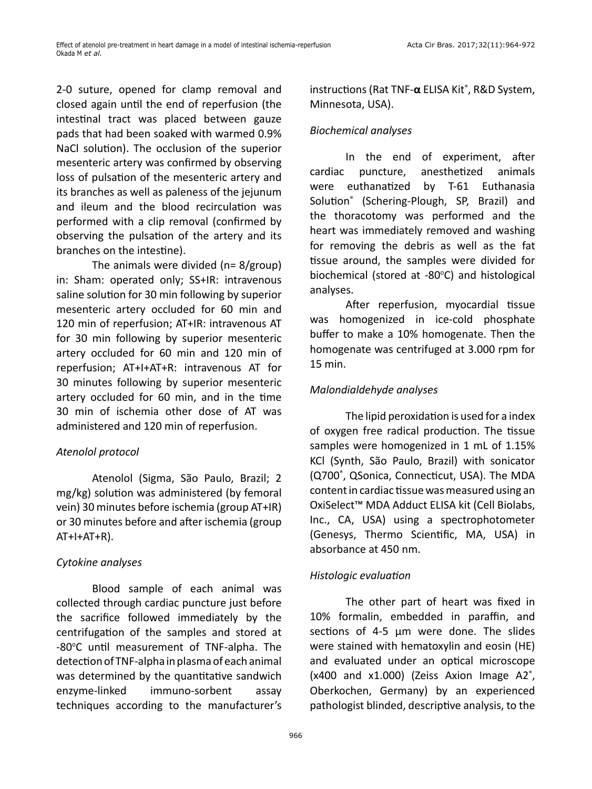2-0 suture, opened for clamp removal and closed again until the end of reperfusion (the intestinal tract was placed between gauze pads that had been soaked with warmed 0.9% NaCl solution). The occlusion of the superior mesenteric artery was confirmed by observing loss of pulsation of the mesenteric artery and its branches as well as paleness of the jejunum and ileum and the blood recirculation was performed with a clip removal (confirmed by observing the pulsation of the artery and its branches on the intestine).

The animals were divided (n= 8/group) in: Sham: operated only; SS+IR: intravenous saline solution for 30 min following by superior mesenteric artery occluded for 60 min and 120 min of reperfusion; AT+IR: intravenous AT for 30 min following by superior mesenteric artery occluded for 60 min and 120 min of reperfusion; AT+I+AT+R: intravenous AT for 30 minutes following by superior mesenteric artery occluded for 60 min, and in the time 30 min of ischemia other dose of AT was administered and 120 min of reperfusion.

#### *Atenolol protocol*

Atenolol (Sigma, São Paulo, Brazil; 2 mg/kg) solution was administered (by femoral vein) 30 minutes before ischemia (group AT+IR) or 30 minutes before and after ischemia (group  $AT+I+AT+R$ ).

#### *Cytokine analyses*

Blood sample of each animal was collected through cardiac puncture just before the sacrifice followed immediately by the centrifugation of the samples and stored at -80°C until measurement of TNF-alpha. The detection of TNF-alpha in plasma of each animal was determined by the quantitative sandwich enzyme-linked immuno-sorbent assay techniques according to the manufacturer's

instructions (Rat TNF-**α** ELISA Kit® , R&D System, Minnesota, USA).

### *Biochemical analyses*

In the end of experiment, after cardiac puncture, anesthetized animals were euthanatized by T-61 Euthanasia Solution® (Schering-Plough, SP, Brazil) and the thoracotomy was performed and the heart was immediately removed and washing for removing the debris as well as the fat tissue around, the samples were divided for biochemical (stored at -80°C) and histological analyses.

After reperfusion, myocardial tissue was homogenized in ice-cold phosphate buffer to make a 10% homogenate. Then the homogenate was centrifuged at 3.000 rpm for 15 min.

## *Malondialdehyde analyses*

The lipid peroxidation is used for a index of oxygen free radical production. The tissue samples were homogenized in 1 mL of 1.15% KCl (Synth, São Paulo, Brazil) with sonicator (Q700® , QSonica, Connecticut, USA). The MDA content in cardiac tissue was measured using an OxiSelect™ MDA Adduct ELISA kit (Cell Biolabs, Inc., CA, USA) using a spectrophotometer (Genesys, Thermo Scientific, MA, USA) in absorbance at 450 nm.

#### *Histologic evaluation*

The other part of heart was fixed in 10% formalin, embedded in paraffin, and sections of 4-5 μm were done. The slides were stained with hematoxylin and eosin (HE) and evaluated under an optical microscope (x400 and x1.000) (Zeiss Axion Image A2® , Oberkochen, Germany) by an experienced pathologist blinded, descriptive analysis, to the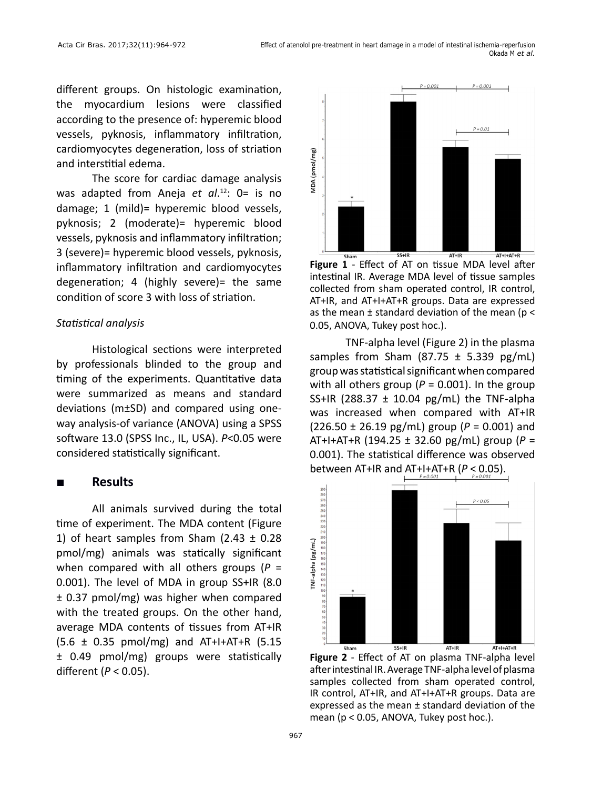different groups. On histologic examination, the myocardium lesions were classified according to the presence of: hyperemic blood vessels, pyknosis, inflammatory infiltration, cardiomyocytes degeneration, loss of striation and interstitial edema.

The score for cardiac damage analysis was adapted from Aneja *et al*. 12: 0= is no damage; 1 (mild)= hyperemic blood vessels, pyknosis; 2 (moderate)= hyperemic blood vessels, pyknosis and inflammatory infiltration; 3 (severe)= hyperemic blood vessels, pyknosis, inflammatory infiltration and cardiomyocytes degeneration; 4 (highly severe)= the same condition of score 3 with loss of striation.

#### *Statistical analysis*

Histological sections were interpreted by professionals blinded to the group and timing of the experiments. Quantitative data were summarized as means and standard deviations (m±SD) and compared using oneway analysis-of variance (ANOVA) using a SPSS software 13.0 (SPSS Inc., IL, USA). *P*<0.05 were considered statistically significant.

#### **■ Results**

All animals survived during the total time of experiment. The MDA content (Figure 1) of heart samples from Sham (2.43  $\pm$  0.28 pmol/mg) animals was statically significant when compared with all others groups (*P* = 0.001). The level of MDA in group SS+IR (8.0 ± 0.37 pmol/mg) was higher when compared with the treated groups. On the other hand, average MDA contents of tissues from AT+IR  $(5.6 \pm 0.35 \, \text{pmol/mg})$  and AT+I+AT+R (5.15 ± 0.49 pmol/mg) groups were statistically different (*P* < 0.05).



**Figure 1** - Effect of AT on tissue MDA level after intestinal IR. Average MDA level of tissue samples collected from sham operated control, IR control, AT+IR, and AT+I+AT+R groups. Data are expressed as the mean  $\pm$  standard deviation of the mean ( $p <$ 0.05, ANOVA, Tukey post hoc.).

TNF-alpha level (Figure 2) in the plasma samples from Sham  $(87.75 \pm 5.339 \text{ pg/mL})$ group was statistical significant when compared with all others group ( $P = 0.001$ ). In the group SS+IR (288.37  $\pm$  10.04 pg/mL) the TNF-alpha was increased when compared with AT+IR (226.50 ± 26.19 pg/mL) group (*P* = 0.001) and AT+I+AT+R (194.25 ± 32.60 pg/mL) group (*P* = 0.001). The statistical difference was observed between AT+IR and AT+I+AT+R (*P* < 0.05).



**Figure 2** - Effect of AT on plasma TNF-alpha level after intestinal IR. Average TNF-alpha level of plasma samples collected from sham operated control, IR control, AT+IR, and AT+I+AT+R groups. Data are expressed as the mean ± standard deviation of the mean (p < 0.05, ANOVA, Tukey post hoc.).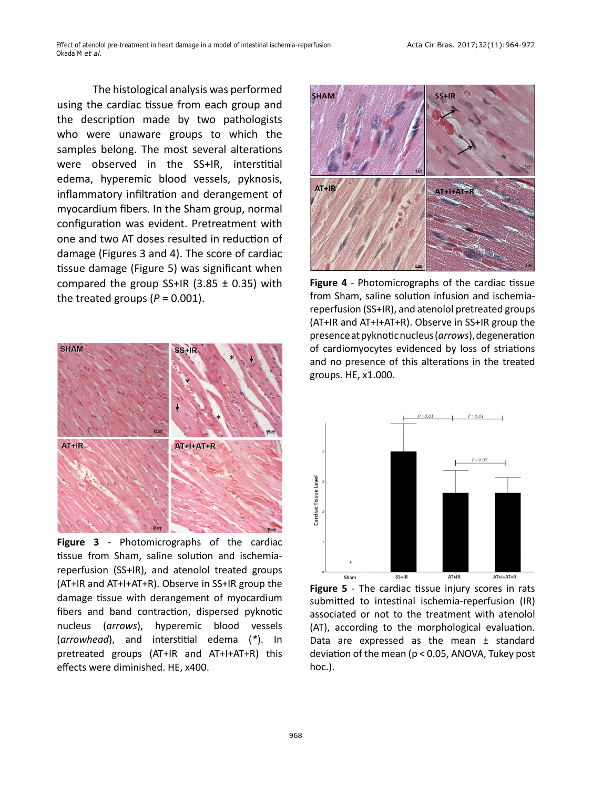The histological analysis was performed using the cardiac tissue from each group and the description made by two pathologists who were unaware groups to which the samples belong. The most several alterations were observed in the SS+IR, interstitial edema, hyperemic blood vessels, pyknosis, inflammatory infiltration and derangement of myocardium fibers. In the Sham group, normal configuration was evident. Pretreatment with one and two AT doses resulted in reduction of damage (Figures 3 and 4). The score of cardiac tissue damage (Figure 5) was significant when compared the group SS+IR (3.85  $\pm$  0.35) with the treated groups  $(P = 0.001)$ .



**Figure 3** - Photomicrographs of the cardiac tissue from Sham, saline solution and ischemiareperfusion (SS+IR), and atenolol treated groups (AT+IR and AT+I+AT+R). Observe in SS+IR group the damage tissue with derangement of myocardium fibers and band contraction, dispersed pyknotic nucleus (*arrows*), hyperemic blood vessels (*arrowhead*), and interstitial edema (*\**). In pretreated groups (AT+IR and AT+I+AT+R) this effects were diminished. HE, x400.



**Figure 4** - Photomicrographs of the cardiac tissue from Sham, saline solution infusion and ischemiareperfusion (SS+IR), and atenolol pretreated groups (AT+IR and AT+I+AT+R). Observe in SS+IR group the presence at pyknotic nucleus (*arrows*), degeneration of cardiomyocytes evidenced by loss of striations and no presence of this alterations in the treated groups. HE, x1.000.



**Figure 5** - The cardiac tissue injury scores in rats submitted to intestinal ischemia-reperfusion (IR) associated or not to the treatment with atenolol (AT), according to the morphological evaluation. Data are expressed as the mean  $\pm$  standard deviation of the mean (p < 0.05, ANOVA, Tukey post hoc.).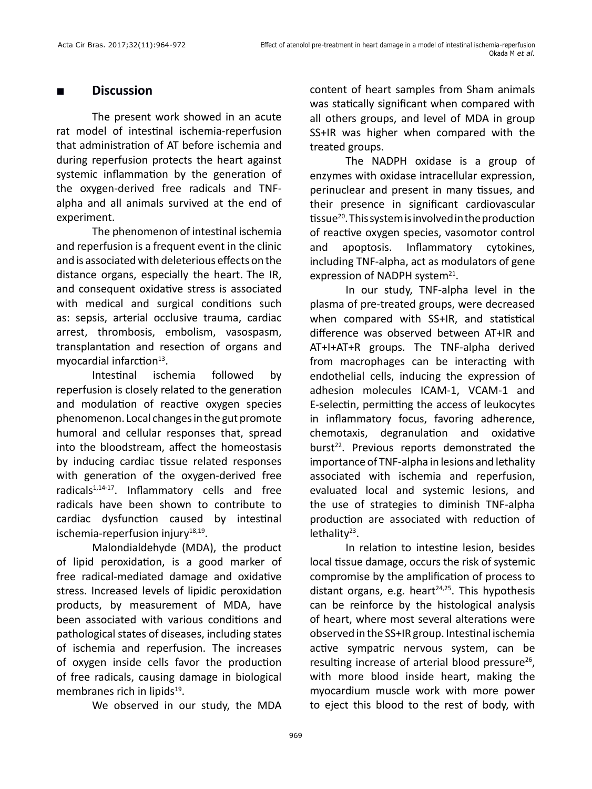#### **■ Discussion**

The present work showed in an acute rat model of intestinal ischemia-reperfusion that administration of AT before ischemia and during reperfusion protects the heart against systemic inflammation by the generation of the oxygen-derived free radicals and TNFalpha and all animals survived at the end of experiment.

The phenomenon of intestinal ischemia and reperfusion is a frequent event in the clinic and is associated with deleterious effects on the distance organs, especially the heart. The IR, and consequent oxidative stress is associated with medical and surgical conditions such as: sepsis, arterial occlusive trauma, cardiac arrest, thrombosis, embolism, vasospasm, transplantation and resection of organs and myocardial infarction $13$ .

Intestinal ischemia followed by reperfusion is closely related to the generation and modulation of reactive oxygen species phenomenon. Local changes in the gut promote humoral and cellular responses that, spread into the bloodstream, affect the homeostasis by inducing cardiac tissue related responses with generation of the oxygen-derived free radicals $1,14-17$ . Inflammatory cells and free radicals have been shown to contribute to cardiac dysfunction caused by intestinal ischemia-reperfusion injury<sup>18,19</sup>.

Malondialdehyde (MDA), the product of lipid peroxidation, is a good marker of free radical-mediated damage and oxidative stress. Increased levels of lipidic peroxidation products, by measurement of MDA, have been associated with various conditions and pathological states of diseases, including states of ischemia and reperfusion. The increases of oxygen inside cells favor the production of free radicals, causing damage in biological membranes rich in lipids<sup>19</sup>.

We observed in our study, the MDA

content of heart samples from Sham animals was statically significant when compared with all others groups, and level of MDA in group SS+IR was higher when compared with the treated groups.

The NADPH oxidase is a group of enzymes with oxidase intracellular expression, perinuclear and present in many tissues, and their presence in significant cardiovascular tissue<sup>20</sup>. This system is involved in the production of reactive oxygen species, vasomotor control and apoptosis. Inflammatory cytokines, including TNF-alpha, act as modulators of gene expression of NADPH system<sup>21</sup>.

In our study, TNF-alpha level in the plasma of pre-treated groups, were decreased when compared with SS+IR, and statistical difference was observed between AT+IR and AT+I+AT+R groups. The TNF-alpha derived from macrophages can be interacting with endothelial cells, inducing the expression of adhesion molecules ICAM-1, VCAM-1 and E-selectin, permitting the access of leukocytes in inflammatory focus, favoring adherence, chemotaxis, degranulation and oxidative burst<sup>22</sup>. Previous reports demonstrated the importance of TNF-alpha in lesions and lethality associated with ischemia and reperfusion, evaluated local and systemic lesions, and the use of strategies to diminish TNF-alpha production are associated with reduction of lethality<sup>23</sup>.

In relation to intestine lesion, besides local tissue damage, occurs the risk of systemic compromise by the amplification of process to distant organs, e.g. heart $24,25$ . This hypothesis can be reinforce by the histological analysis of heart, where most several alterations were observed in the SS+IR group. Intestinal ischemia active sympatric nervous system, can be resulting increase of arterial blood pressure<sup>26</sup>, with more blood inside heart, making the myocardium muscle work with more power to eject this blood to the rest of body, with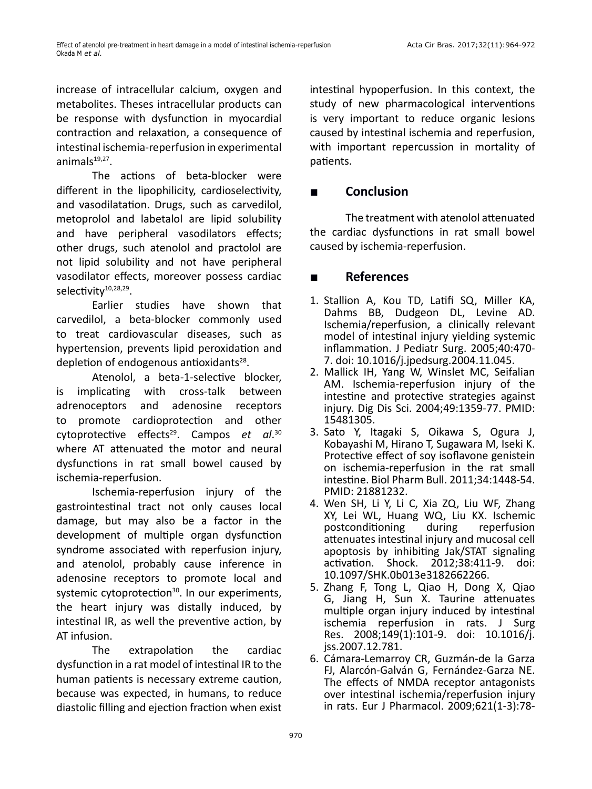increase of intracellular calcium, oxygen and metabolites. Theses intracellular products can be response with dysfunction in myocardial contraction and relaxation, a consequence of intestinal ischemia-reperfusion in experimental animal $s^{19,27}$ .

The actions of beta-blocker were different in the lipophilicity, cardioselectivity, and vasodilatation. Drugs, such as carvedilol, metoprolol and labetalol are lipid solubility and have peripheral vasodilators effects; other drugs, such atenolol and practolol are not lipid solubility and not have peripheral vasodilator effects, moreover possess cardiac selectivity<sup>10,28,29</sup>.

Earlier studies have shown that carvedilol, a beta-blocker commonly used to treat cardiovascular diseases, such as hypertension, prevents lipid peroxidation and depletion of endogenous antioxidants $28$ .

Atenolol, a beta-1-selective blocker, is implicating with cross-talk between adrenoceptors and adenosine receptors to promote cardioprotection and other cytoprotective effects29. Campos *et al*. 30 where AT attenuated the motor and neural dysfunctions in rat small bowel caused by ischemia-reperfusion.

Ischemia-reperfusion injury of the gastrointestinal tract not only causes local damage, but may also be a factor in the development of multiple organ dysfunction syndrome associated with reperfusion injury, and atenolol, probably cause inference in adenosine receptors to promote local and systemic cytoprotection<sup>30</sup>. In our experiments, the heart injury was distally induced, by intestinal IR, as well the preventive action, by AT infusion.

The extrapolation the cardiac dysfunction in a rat model of intestinal IR to the human patients is necessary extreme caution, because was expected, in humans, to reduce diastolic filling and ejection fraction when exist intestinal hypoperfusion. In this context, the study of new pharmacological interventions is very important to reduce organic lesions caused by intestinal ischemia and reperfusion, with important repercussion in mortality of patients.

## **■ Conclusion**

The treatment with atenolol attenuated the cardiac dysfunctions in rat small bowel caused by ischemia-reperfusion.

## **■ References**

- 1. Stallion A, Kou TD, Latifi SQ, Miller KA, Dahms BB, Dudgeon DL, Levine AD. Ischemia/reperfusion, a clinically relevant model of intestinal injury yielding systemic inflammation. J Pediatr Surg. 2005;40:470- 7. doi: 10.1016/j.jpedsurg.2004.11.045.
- 2. Mallick IH, Yang W, Winslet MC, Seifalian AM. Ischemia-reperfusion injury of the intestine and protective strategies against injury. Dig Dis Sci. 2004;49:1359-77. PMID: 15481305.
- 3. Sato Y, Itagaki S, Oikawa S, Ogura J, Kobayashi M, Hirano T, Sugawara M, Iseki K. Protective effect of soy isoflavone genistein on ischemia-reperfusion in the rat small intestine. Biol Pharm Bull. 2011;34:1448-54. PMID: 21881232.
- 4. Wen SH, Li Y, Li C, Xia ZQ, Liu WF, Zhang XY, Lei WL, Huang WQ, Liu KX. Ischemic postconditioning during reperfusion attenuates intestinal injury and mucosal cell apoptosis by inhibiting Jak/STAT signaling activation. Shock. 2012;38:411-9. doi: 10.1097/SHK.0b013e3182662266.
- 5. Zhang F, Tong L, Qiao H, Dong X, Qiao G, Jiang H, Sun X. Taurine attenuates multiple organ injury induced by intestinal ischemia reperfusion in rats. J Surg Res. 2008;149(1):101-9. doi: 10.1016/j. jss.2007.12.781.
- 6. Cámara-Lemarroy CR, Guzmán-de la Garza FJ, Alarcón-Galván G, Fernández-Garza NE. The effects of NMDA receptor antagonists over intestinal ischemia/reperfusion injury in rats. Eur J Pharmacol. 2009;621(1-3):78-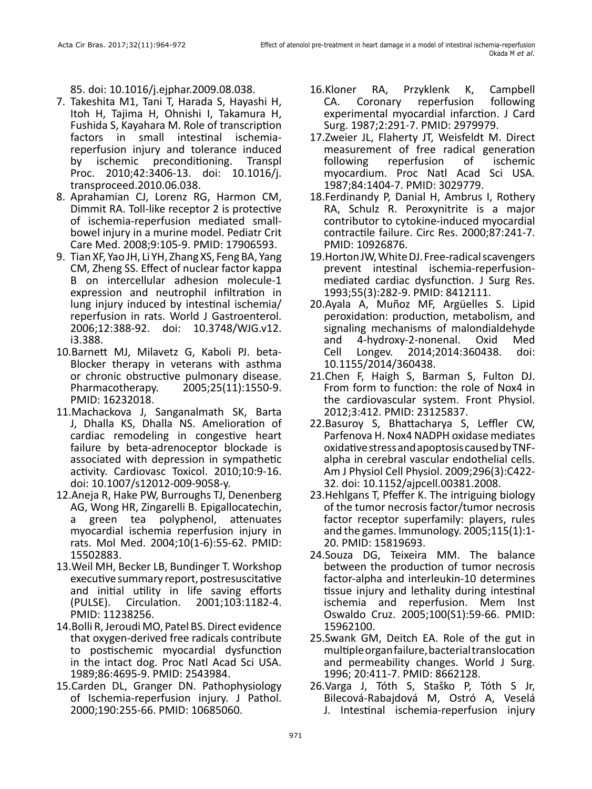85. doi: 10.1016/j.ejphar.2009.08.038.

- 7. Takeshita M1, Tani T, Harada S, Hayashi H, Itoh H, Tajima H, Ohnishi I, Takamura H, Fushida S, Kayahara M. Role of transcription factors in small intestinal ischemiareperfusion injury and tolerance induced by ischemic preconditioning. Transpl Proc. 2010;42:3406-13. doi: 10.1016/j. transproceed.2010.06.038.
- 8. Aprahamian CJ, Lorenz RG, Harmon CM, Dimmit RA. Toll-like receptor 2 is protective of ischemia-reperfusion mediated smallbowel injury in a murine model. Pediatr Crit Care Med. 2008;9:105-9. PMID: 17906593.
- 9. Tian XF, Yao JH, Li YH, Zhang XS, Feng BA, Yang CM, Zheng SS. Effect of nuclear factor kappa B on intercellular adhesion molecule-1 expression and neutrophil infiltration in lung injury induced by intestinal ischemia/ reperfusion in rats. World J Gastroenterol. 2006;12:388-92. doi: 10.3748/WJG.v12. i3.388.
- 10.Barnett MJ, Milavetz G, Kaboli PJ. beta-Blocker therapy in veterans with asthma or chronic obstructive pulmonary disease.<br>Pharmacotherapy. 2005;25(11):1550-9. Pharmacotherapy. 2005;25(11):1550-9. PMID: 16232018.
- 11.Machackova J, Sanganalmath SK, Barta J, Dhalla KS, Dhalla NS. Amelioration of cardiac remodeling in congestive heart failure by beta-adrenoceptor blockade is associated with depression in sympathetic activity. Cardiovasc Toxicol. 2010;10:9-16. doi: 10.1007/s12012-009-9058-y.
- 12.Aneja R, Hake PW, Burroughs TJ, Denenberg AG, Wong HR, Zingarelli B. Epigallocatechin, green tea polyphenol, attenuates myocardial ischemia reperfusion injury in rats. Mol Med. 2004;10(1-6):55-62. PMID: 15502883.
- 13.Weil MH, Becker LB, Bundinger T. Workshop executive summary report, postresuscitative and initial utility in life saving efforts (PULSE). Circulation. 2001;103:1182-4. PMID: 11238256.
- 14.Bolli R, Jeroudi MO, Patel BS. Direct evidence that oxygen-derived free radicals contribute to postischemic myocardial dysfunction in the intact dog. Proc Natl Acad Sci USA. 1989;86:4695-9. PMID: 2543984.
- 15.Carden DL, Granger DN. Pathophysiology of Ischemia-reperfusion injury. J Pathol. 2000;190:255-66. PMID: 10685060.
- 16.Kloner RA, Przyklenk K, Campbell CA. Coronary reperfusion following experimental myocardial infarction. J Card Surg. 1987;2:291-7. PMID: 2979979.
- 17.Zweier JL, Flaherty JT, Weisfeldt M. Direct measurement of free radical generation following reperfusion of ischemic myocardium. Proc Natl Acad Sci USA. 1987;84:1404-7. PMID: 3029779.
- 18.Ferdinandy P, Danial H, Ambrus I, Rothery RA, Schulz R. Peroxynitrite is a major contributor to cytokine-induced myocardial contractile failure. Circ Res. 2000;87:241-7. PMID: 10926876.
- 19.Horton JW, White DJ. Free-radical scavengers prevent intestinal ischemia-reperfusionmediated cardiac dysfunction. J Surg Res. 1993;55(3):282-9. PMID: 8412111.
- 20.Ayala A, Muñoz MF, Argüelles S. Lipid peroxidation: production, metabolism, and signaling mechanisms of malondialdehyde and 4-hydroxy-2-nonenal. Oxid Med Cell Longev. 2014;2014:360438. doi: 10.1155/2014/360438.
- 21.Chen F, Haigh S, Barman S, Fulton DJ. From form to function: the role of Nox4 in the cardiovascular system. Front Physiol. 2012;3:412. PMID: 23125837.
- 22.Basuroy S, Bhattacharya S, Leffler CW, Parfenova H. Nox4 NADPH oxidase mediates oxidative stress and apoptosis caused by TNFalpha in cerebral vascular endothelial cells. Am J Physiol Cell Physiol. 2009;296(3):C422- 32. doi: 10.1152/ajpcell.00381.2008.
- 23.Hehlgans T, Pfeffer K. The intriguing biology of the tumor necrosis factor/tumor necrosis factor receptor superfamily: players, rules and the games. Immunology. 2005;115(1):1- 20. PMID: 15819693.
- 24.Souza DG, Teixeira MM. The balance between the production of tumor necrosis factor-alpha and interleukin-10 determines tissue injury and lethality during intestinal ischemia and reperfusion. Mem Inst Oswaldo Cruz. 2005;100(S1):59-66. PMID: 15962100.
- 25.Swank GM, Deitch EA. Role of the gut in multiple organ failure, bacterial translocation and permeability changes. World J Surg. 1996; 20:411-7. PMID: 8662128.
- 26.Varga J, Tóth S, Staško P, Tóth S Jr, Bilecová-Rabajdová M, Ostró A, Veselá J. Intestinal ischemia-reperfusion injury